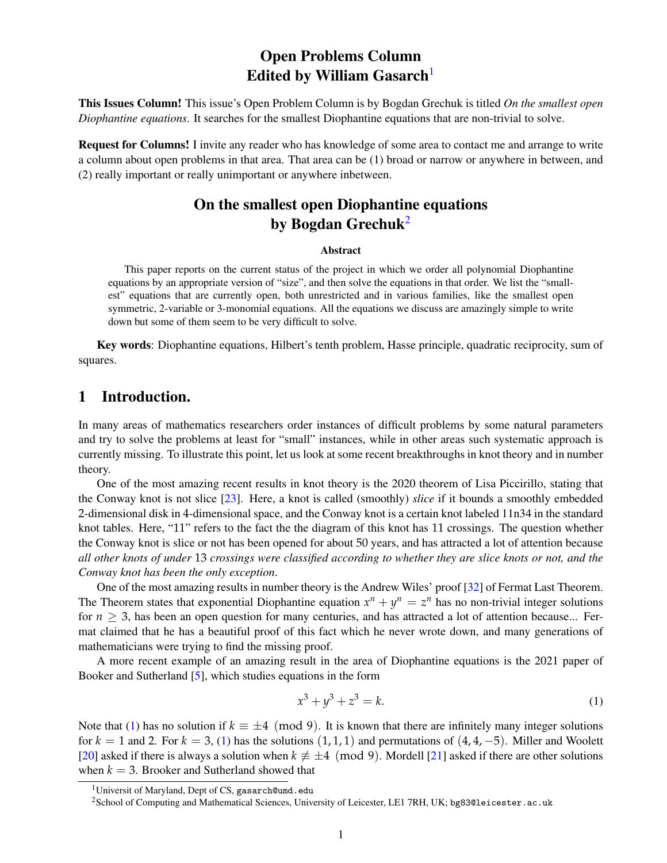# Open Problems Column Edited by William Gasarch<sup>[1](#page-0-0)</sup>

This Issues Column! This issue's Open Problem Column is by Bogdan Grechuk is titled *On the smallest open Diophantine equations*. It searches for the smallest Diophantine equations that are non-trivial to solve.

Request for Columns! I invite any reader who has knowledge of some area to contact me and arrange to write a column about open problems in that area. That area can be (1) broad or narrow or anywhere in between, and (2) really important or really unimportant or anywhere inbetween.

# On the smallest open Diophantine equations by Bogdan Grechuk<sup>[2](#page-0-1)</sup>

#### Abstract

This paper reports on the current status of the project in which we order all polynomial Diophantine equations by an appropriate version of "size", and then solve the equations in that order. We list the "smallest" equations that are currently open, both unrestricted and in various families, like the smallest open symmetric, 2-variable or 3-monomial equations. All the equations we discuss are amazingly simple to write down but some of them seem to be very difficult to solve.

Key words: Diophantine equations, Hilbert's tenth problem, Hasse principle, quadratic reciprocity, sum of squares.

# 1 Introduction.

In many areas of mathematics researchers order instances of difficult problems by some natural parameters and try to solve the problems at least for "small" instances, while in other areas such systematic approach is currently missing. To illustrate this point, let us look at some recent breakthroughs in knot theory and in number theory.

One of the most amazing recent results in knot theory is the 2020 theorem of Lisa Piccirillo, stating that the Conway knot is not slice [\[23\]](#page-16-0). Here, a knot is called (smoothly) *slice* if it bounds a smoothly embedded 2-dimensional disk in 4-dimensional space, and the Conway knot is a certain knot labeled 11n34 in the standard knot tables. Here, "11" refers to the fact the the diagram of this knot has 11 crossings. The question whether the Conway knot is slice or not has been opened for about 50 years, and has attracted a lot of attention because *all other knots of under* 13 *crossings were classified according to whether they are slice knots or not, and the Conway knot has been the only exception*.

One of the most amazing results in number theory is the Andrew Wiles' proof [\[32\]](#page-16-1) of Fermat Last Theorem. The Theorem states that exponential Diophantine equation  $x^n + y^n = z^n$  has no non-trivial integer solutions for  $n \geq 3$ , has been an open question for many centuries, and has attracted a lot of attention because... Fermat claimed that he has a beautiful proof of this fact which he never wrote down, and many generations of mathematicians were trying to find the missing proof.

A more recent example of an amazing result in the area of Diophantine equations is the 2021 paper of Booker and Sutherland [\[5\]](#page-15-0), which studies equations in the form

<span id="page-0-2"></span>
$$
x^3 + y^3 + z^3 = k.\t\t(1)
$$

Note that [\(1\)](#page-0-2) has no solution if  $k \equiv \pm 4 \pmod{9}$ . It is known that there are infinitely many integer solutions for  $k = 1$  and 2. For  $k = 3$ , [\(1\)](#page-0-2) has the solutions  $(1, 1, 1)$  and permutations of  $(4, 4, -5)$ . Miller and Woolett [\[20\]](#page-16-2) asked if there is always a solution when  $k \neq \pm 4 \pmod{9}$ . Mordell [\[21\]](#page-16-3) asked if there are other solutions when  $k = 3$ . Brooker and Sutherland showed that

<span id="page-0-0"></span><sup>&</sup>lt;sup>1</sup>Universit of Maryland, Dept of CS, gasarch@umd.edu

<span id="page-0-1"></span><sup>2</sup>School of Computing and Mathematical Sciences, University of Leicester, LE1 7RH, UK; bg83@leicester.ac.uk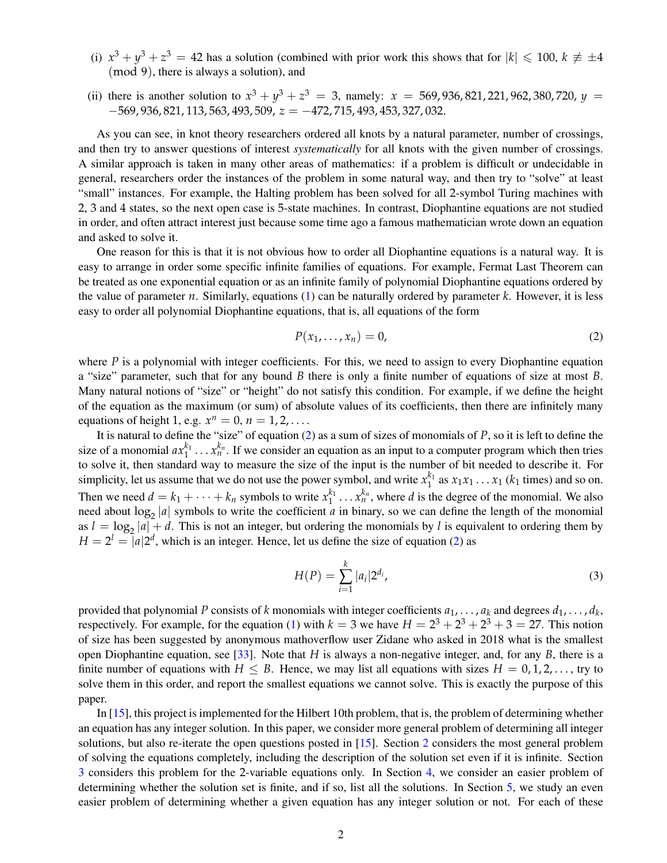- (i)  $x^3 + y^3 + z^3 = 42$  has a solution (combined with prior work this shows that for  $|k| \leq 100$ ,  $k \neq \pm 4$ (mod 9), there is always a solution), and
- (ii) there is another solution to  $x^3 + y^3 + z^3 = 3$ , namely:  $x = 569,936,821,221,962,380,720, y =$ −569, 936, 821, 113, 563, 493, 509, *z* = −472, 715, 493, 453, 327, 032.

As you can see, in knot theory researchers ordered all knots by a natural parameter, number of crossings, and then try to answer questions of interest *systematically* for all knots with the given number of crossings. A similar approach is taken in many other areas of mathematics: if a problem is difficult or undecidable in general, researchers order the instances of the problem in some natural way, and then try to "solve" at least "small" instances. For example, the Halting problem has been solved for all 2-symbol Turing machines with 2, 3 and 4 states, so the next open case is 5-state machines. In contrast, Diophantine equations are not studied in order, and often attract interest just because some time ago a famous mathematician wrote down an equation and asked to solve it.

One reason for this is that it is not obvious how to order all Diophantine equations is a natural way. It is easy to arrange in order some specific infinite families of equations. For example, Fermat Last Theorem can be treated as one exponential equation or as an infinite family of polynomial Diophantine equations ordered by the value of parameter *n*. Similarly, equations [\(1\)](#page-0-2) can be naturally ordered by parameter *k*. However, it is less easy to order all polynomial Diophantine equations, that is, all equations of the form

<span id="page-1-0"></span>
$$
P(x_1,\ldots,x_n)=0,\t\t(2)
$$

where  $P$  is a polynomial with integer coefficients. For this, we need to assign to every Diophantine equation a "size" parameter, such that for any bound *B* there is only a finite number of equations of size at most *B*. Many natural notions of "size" or "height" do not satisfy this condition. For example, if we define the height of the equation as the maximum (or sum) of absolute values of its coefficients, then there are infinitely many equations of height 1, e.g.  $x^n = 0$ ,  $n = 1, 2, \ldots$ .

It is natural to define the "size" of equation [\(2\)](#page-1-0) as a sum of sizes of monomials of *P*, so it is left to define the size of a monomial  $ax_1^{k_1} \ldots x_n^{k_n}$ . If we consider an equation as an input to a computer program which then tries to solve it, then standard way to measure the size of the input is the number of bit needed to describe it. For simplicity, let us assume that we do not use the power symbol, and write  $x_1^{k_1}$  as  $x_1x_1 \ldots x_1$  ( $k_1$  times) and so on. Then we need  $d = k_1 + \cdots + k_n$  symbols to write  $x_1^{k_1} \ldots x_n^{k_n}$ , where *d* is the degree of the monomial. We also need about  $\log_2 |a|$  symbols to write the coefficient *a* in binary, so we can define the length of the monomial as  $l = \log_2 |a| + d$ . This is not an integer, but ordering the monomials by *l* is equivalent to ordering them by  $H = 2^l = |a|2^d$ , which is an integer. Hence, let us define the size of equation [\(2\)](#page-1-0) as

<span id="page-1-1"></span>
$$
H(P) = \sum_{i=1}^{k} |a_i| 2^{d_i},
$$
\n(3)

provided that polynomial P consists of *k* monomials with integer coefficients  $a_1, \ldots, a_k$  and degrees  $d_1, \ldots, d_k$ , respectively. For example, for the equation [\(1\)](#page-0-2) with  $k = 3$  we have  $H = 2^3 + 2^3 + 2^3 + 3 = 27$ . This notion of size has been suggested by anonymous mathoverflow user Zidane who asked in 2018 what is the smallest open Diophantine equation, see [\[33\]](#page-17-0). Note that *H* is always a non-negative integer, and, for any *B*, there is a finite number of equations with  $H \leq B$ . Hence, we may list all equations with sizes  $H = 0, 1, 2, \ldots$ , try to solve them in this order, and report the smallest equations we cannot solve. This is exactly the purpose of this paper.

In [\[15\]](#page-16-4), this project is implemented for the Hilbert 10th problem, that is, the problem of determining whether an equation has any integer solution. In this paper, we consider more general problem of determining all integer solutions, but also re-iterate the open questions posted in [\[15\]](#page-16-4). Section [2](#page-2-0) considers the most general problem of solving the equations completely, including the description of the solution set even if it is infinite. Section [3](#page-4-0) considers this problem for the 2-variable equations only. In Section [4,](#page-8-0) we consider an easier problem of determining whether the solution set is finite, and if so, list all the solutions. In Section [5,](#page-13-0) we study an even easier problem of determining whether a given equation has any integer solution or not. For each of these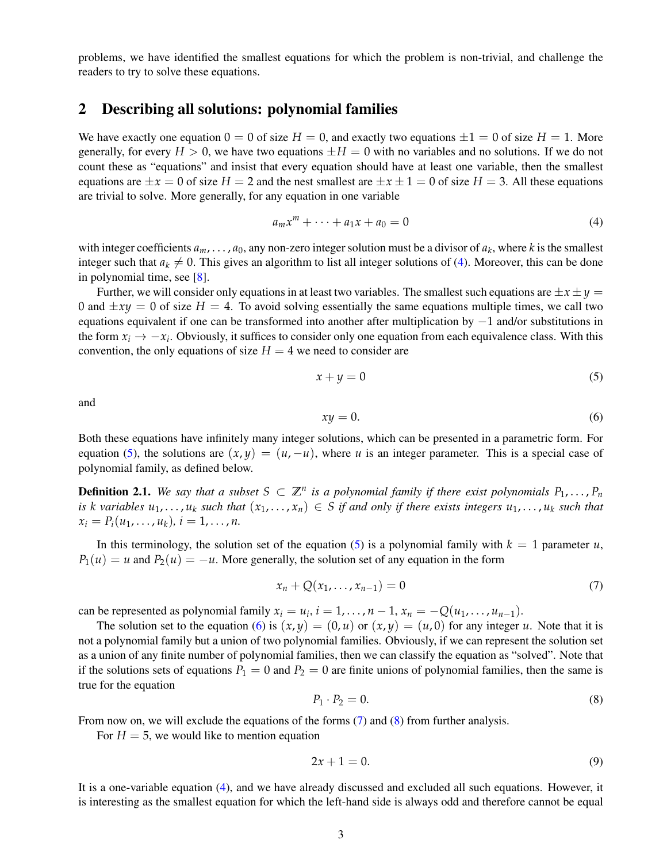problems, we have identified the smallest equations for which the problem is non-trivial, and challenge the readers to try to solve these equations.

#### <span id="page-2-0"></span>2 Describing all solutions: polynomial families

We have exactly one equation  $0 = 0$  of size  $H = 0$ , and exactly two equations  $\pm 1 = 0$  of size  $H = 1$ . More generally, for every  $H > 0$ , we have two equations  $\pm H = 0$  with no variables and no solutions. If we do not count these as "equations" and insist that every equation should have at least one variable, then the smallest equations are  $\pm x = 0$  of size  $H = 2$  and the nest smallest are  $\pm x \pm 1 = 0$  of size  $H = 3$ . All these equations are trivial to solve. More generally, for any equation in one variable

<span id="page-2-1"></span>
$$
a_m x^m + \dots + a_1 x + a_0 = 0 \tag{4}
$$

with integer coefficients  $a_m$ , ...,  $a_0$ , any non-zero integer solution must be a divisor of  $a_k$ , where  $k$  is the smallest integer such that  $a_k \neq 0$ . This gives an algorithm to list all integer solutions of [\(4\)](#page-2-1). Moreover, this can be done in polynomial time, see [\[8\]](#page-15-1).

Further, we will consider only equations in at least two variables. The smallest such equations are  $\pm x \pm y =$ 0 and  $\pm xy = 0$  of size  $H = 4$ . To avoid solving essentially the same equations multiple times, we call two equations equivalent if one can be transformed into another after multiplication by −1 and/or substitutions in the form  $x_i \to -x_i$ . Obviously, it suffices to consider only one equation from each equivalence class. With this convention, the only equations of size  $H = 4$  we need to consider are

<span id="page-2-2"></span>
$$
x + y = 0 \tag{5}
$$

and

<span id="page-2-3"></span>
$$
xy = 0.\t\t(6)
$$

Both these equations have infinitely many integer solutions, which can be presented in a parametric form. For equation [\(5\)](#page-2-2), the solutions are  $(x, y) = (u, -u)$ , where *u* is an integer parameter. This is a special case of polynomial family, as defined below.

**Definition 2.1.** We say that a subset  $S \subset \mathbb{Z}^n$  is a polynomial family if there exist polynomials  $P_1, \ldots, P_n$ is k variables  $u_1, \ldots, u_k$  such that  $(x_1, \ldots, x_n) \in S$  if and only if there exists integers  $u_1, \ldots, u_k$  such that  $x_i = P_i(u_1, \ldots, u_k), i = 1, \ldots, n.$ 

In this terminology, the solution set of the equation [\(5\)](#page-2-2) is a polynomial family with  $k = 1$  parameter *u*,  $P_1(u) = u$  and  $P_2(u) = -u$ . More generally, the solution set of any equation in the form

<span id="page-2-4"></span>
$$
x_n + Q(x_1, ..., x_{n-1}) = 0
$$
 (7)

can be represented as polynomial family  $x_i = u_i$ ,  $i = 1, ..., n - 1$ ,  $x_n = -Q(u_1, ..., u_{n-1})$ .

The solution set to the equation [\(6\)](#page-2-3) is  $(x, y) = (0, u)$  or  $(x, y) = (u, 0)$  for any integer *u*. Note that it is not a polynomial family but a union of two polynomial families. Obviously, if we can represent the solution set as a union of any finite number of polynomial families, then we can classify the equation as "solved". Note that if the solutions sets of equations  $P_1 = 0$  and  $P_2 = 0$  are finite unions of polynomial families, then the same is true for the equation

<span id="page-2-5"></span>
$$
P_1 \cdot P_2 = 0. \tag{8}
$$

From now on, we will exclude the equations of the forms [\(7\)](#page-2-4) and [\(8\)](#page-2-5) from further analysis.

For  $H = 5$ , we would like to mention equation

$$
2x + 1 = 0.\tag{9}
$$

It is a one-variable equation [\(4\)](#page-2-1), and we have already discussed and excluded all such equations. However, it is interesting as the smallest equation for which the left-hand side is always odd and therefore cannot be equal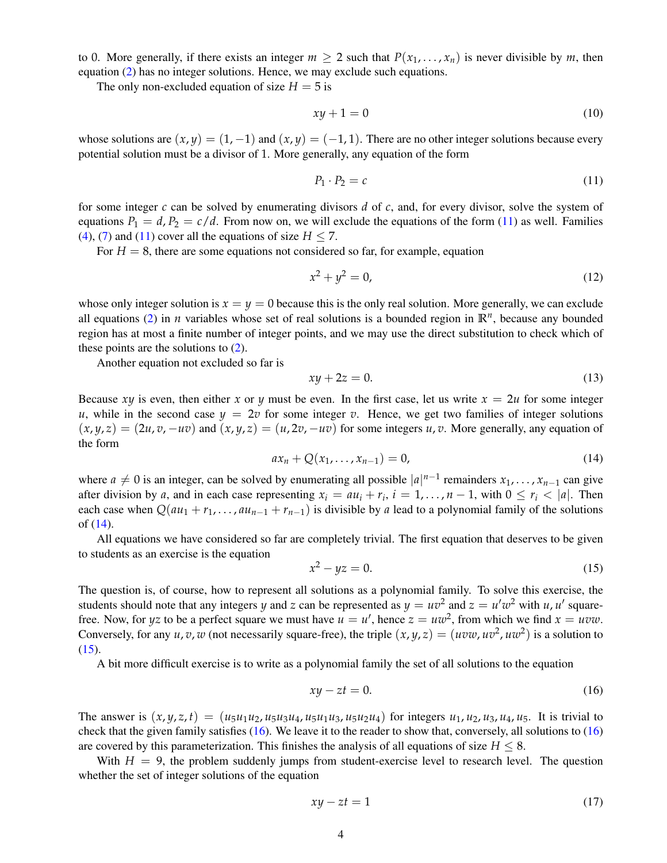to 0. More generally, if there exists an integer  $m \ge 2$  such that  $P(x_1, \ldots, x_n)$  is never divisible by m, then equation [\(2\)](#page-1-0) has no integer solutions. Hence, we may exclude such equations.

The only non-excluded equation of size  $H = 5$  is

$$
xy + 1 = 0 \tag{10}
$$

whose solutions are  $(x, y) = (1, -1)$  and  $(x, y) = (-1, 1)$ . There are no other integer solutions because every potential solution must be a divisor of 1. More generally, any equation of the form

<span id="page-3-0"></span>
$$
P_1 \cdot P_2 = c \tag{11}
$$

for some integer *c* can be solved by enumerating divisors *d* of *c*, and, for every divisor, solve the system of equations  $P_1 = d$ ,  $P_2 = c/d$ . From now on, we will exclude the equations of the form [\(11\)](#page-3-0) as well. Families [\(4\)](#page-2-1), [\(7\)](#page-2-4) and [\(11\)](#page-3-0) cover all the equations of size  $H \le 7$ .

For  $H = 8$ , there are some equations not considered so far, for example, equation

$$
x^2 + y^2 = 0,\t(12)
$$

whose only integer solution is  $x = y = 0$  because this is the only real solution. More generally, we can exclude all equations [\(2\)](#page-1-0) in *n* variables whose set of real solutions is a bounded region in  $\mathbb{R}^n$ , because any bounded region has at most a finite number of integer points, and we may use the direct substitution to check which of these points are the solutions to [\(2\)](#page-1-0).

Another equation not excluded so far is

$$
xy + 2z = 0.\t(13)
$$

Because *xy* is even, then either *x* or *y* must be even. In the first case, let us write  $x = 2u$  for some integer *u*, while in the second case  $y = 2v$  for some integer *v*. Hence, we get two families of integer solutions  $(x, y, z) = (2u, v, -uv)$  and  $(x, y, z) = (u, 2v, -uv)$  for some integers *u*, *v*. More generally, any equation of the form

<span id="page-3-1"></span>
$$
ax_n + Q(x_1, ..., x_{n-1}) = 0,
$$
\n(14)

where  $a \neq 0$  is an integer, can be solved by enumerating all possible  $|a|^{n-1}$  remainders  $x_1, \ldots, x_{n-1}$  can give after division by *a*, and in each case representing  $x_i = au_i + r_i$ ,  $i = 1, ..., n - 1$ , with  $0 \le r_i < |a|$ . Then each case when  $Q(au_1 + r_1, \ldots, au_{n-1} + r_{n-1})$  is divisible by *a* lead to a polynomial family of the solutions of [\(14\)](#page-3-1).

All equations we have considered so far are completely trivial. The first equation that deserves to be given to students as an exercise is the equation

<span id="page-3-2"></span>
$$
x^2 - yz = 0.\tag{15}
$$

The question is, of course, how to represent all solutions as a polynomial family. To solve this exercise, the students should note that any integers *y* and *z* can be represented as  $y = uv^2$  and  $z = u'w^2$  with *u*, *u'* squarefree. Now, for *yz* to be a perfect square we must have  $u = u'$ , hence  $z = uw^2$ , from which we find  $x = uvw$ . Conversely, for any  $u, v, w$  (not necessarily square-free), the triple  $(x, y, z) = (uvw, uv^2, uw^2)$  is a solution to  $(15).$  $(15).$ 

A bit more difficult exercise is to write as a polynomial family the set of all solutions to the equation

<span id="page-3-3"></span>
$$
xy - zt = 0.\t\t(16)
$$

The answer is  $(x, y, z, t) = (u_5u_1u_2, u_5u_3u_4, u_5u_1u_3, u_5u_2u_4)$  for integers  $u_1, u_2, u_3, u_4, u_5$ . It is trivial to check that the given family satisfies [\(16\)](#page-3-3). We leave it to the reader to show that, conversely, all solutions to [\(16\)](#page-3-3) are covered by this parameterization. This finishes the analysis of all equations of size  $H \leq 8$ .

With  $H = 9$ , the problem suddenly jumps from student-exercise level to research level. The question whether the set of integer solutions of the equation

<span id="page-3-4"></span>
$$
xy - zt = 1 \tag{17}
$$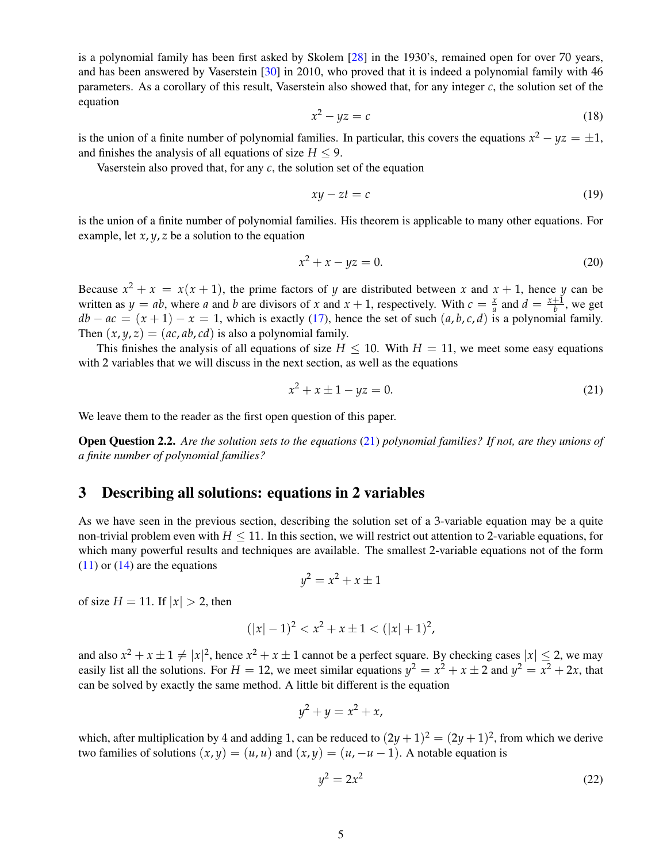is a polynomial family has been first asked by Skolem [\[28\]](#page-16-5) in the 1930's, remained open for over 70 years, and has been answered by Vaserstein [\[30\]](#page-16-6) in 2010, who proved that it is indeed a polynomial family with 46 parameters. As a corollary of this result, Vaserstein also showed that, for any integer *c*, the solution set of the equation

$$
x^2 - yz = c \tag{18}
$$

is the union of a finite number of polynomial families. In particular, this covers the equations  $x^2 - yz = \pm 1$ , and finishes the analysis of all equations of size  $H \leq 9$ .

Vaserstein also proved that, for any *c*, the solution set of the equation

$$
xy - zt = c \tag{19}
$$

is the union of a finite number of polynomial families. His theorem is applicable to many other equations. For example, let  $x, y, z$  be a solution to the equation

$$
x^2 + x - yz = 0.\tag{20}
$$

Because  $x^2 + x = x(x + 1)$ , the prime factors of *y* are distributed between *x* and  $x + 1$ , hence *y* can be written as  $y = ab$ , where *a* and *b* are divisors of *x* and  $x + 1$ , respectively. With  $c = \frac{x}{a}$  and  $d = \frac{x+1}{b}$ , we get  $db - ac = (x + 1) - x = 1$ , which is exactly [\(17\)](#page-3-4), hence the set of such  $(a, b, c, d)$  is a polynomial family. Then  $(x, y, z) = (ac, ab, cd)$  is also a polynomial family.

This finishes the analysis of all equations of size  $H < 10$ . With  $H = 11$ , we meet some easy equations with 2 variables that we will discuss in the next section, as well as the equations

<span id="page-4-1"></span>
$$
x^2 + x \pm 1 - yz = 0. \tag{21}
$$

We leave them to the reader as the first open question of this paper.

<span id="page-4-3"></span>Open Question 2.2. *Are the solution sets to the equations* [\(21\)](#page-4-1) *polynomial families? If not, are they unions of a finite number of polynomial families?*

### <span id="page-4-0"></span>3 Describing all solutions: equations in 2 variables

As we have seen in the previous section, describing the solution set of a 3-variable equation may be a quite non-trivial problem even with  $H \leq 11$ . In this section, we will restrict out attention to 2-variable equations, for which many powerful results and techniques are available. The smallest 2-variable equations not of the form  $(11)$  or  $(14)$  are the equations

$$
y^2 = x^2 + x \pm 1
$$

of size  $H = 11$ . If  $|x| > 2$ , then

$$
(|x|-1)^2 < x^2 + x \pm 1 < (|x|+1)^2
$$

and also  $x^2 + x \pm 1 \neq |x|^2$ , hence  $x^2 + x \pm 1$  cannot be a perfect square. By checking cases  $|x| \leq 2$ , we may easily list all the solutions. For  $H = 12$ , we meet similar equations  $y^2 = x^2 + x \pm 2$  and  $y^2 = x^2 + 2x$ , that can be solved by exactly the same method. A little bit different is the equation

$$
y^2 + y = x^2 + x,
$$

which, after multiplication by 4 and adding 1, can be reduced to  $(2y+1)^2 = (2y+1)^2$ , from which we derive two families of solutions  $(x, y) = (u, u)$  and  $(x, y) = (u, -u - 1)$ . A notable equation is

<span id="page-4-2"></span>
$$
y^2 = 2x^2 \tag{22}
$$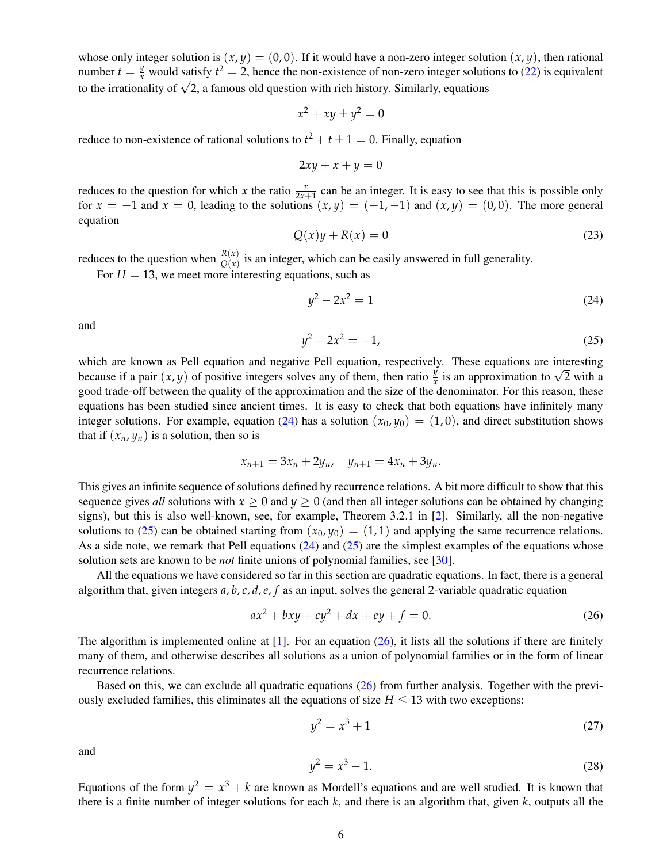whose only integer solution is  $(x, y) = (0, 0)$ . If it would have a non-zero integer solution  $(x, y)$ , then rational number  $t = \frac{y}{x}$  would satisfy  $t^2 = 2$ , hence the non-existence of non-zero integer solutions to [\(22\)](#page-4-2) is equivalent mumber  $t = \frac{1}{x}$  would satisfy  $t = 2$ , hence the hon-existence of hon-zero integer solutions to the irrationality of  $\sqrt{2}$ , a famous old question with rich history. Similarly, equations

$$
x^2 + xy \pm y^2 = 0
$$

reduce to non-existence of rational solutions to  $t^2 + t \pm 1 = 0$ . Finally, equation

$$
2xy + x + y = 0
$$

reduces to the question for which *x* the ratio  $\frac{x}{2x+1}$  can be an integer. It is easy to see that this is possible only for  $x = -1$  and  $x = 0$ , leading to the solutions  $(x, y) = (-1, -1)$  and  $(x, y) = (0, 0)$ . The more general equation

$$
Q(x)y + R(x) = 0 \tag{23}
$$

reduces to the question when  $\frac{R(x)}{Q(x)}$  is an integer, which can be easily answered in full generality.

For  $H = 13$ , we meet more interesting equations, such as

<span id="page-5-0"></span>
$$
y^2 - 2x^2 = 1 \tag{24}
$$

and

<span id="page-5-1"></span>
$$
y^2 - 2x^2 = -1,\tag{25}
$$

which are known as Pell equation and negative Pell equation, respectively. These equations are interesting which are known as Pell equation and negative Pell equation, respectively. These equations are interesting because if a pair  $(x, y)$  of positive integers solves any of them, then ratio  $\frac{y}{x}$  is an approximation to  $\sqrt{$ good trade-off between the quality of the approximation and the size of the denominator. For this reason, these equations has been studied since ancient times. It is easy to check that both equations have infinitely many integer solutions. For example, equation [\(24\)](#page-5-0) has a solution  $(x_0, y_0) = (1, 0)$ , and direct substitution shows that if  $(x_n, y_n)$  is a solution, then so is

$$
x_{n+1} = 3x_n + 2y_n, \quad y_{n+1} = 4x_n + 3y_n.
$$

This gives an infinite sequence of solutions defined by recurrence relations. A bit more difficult to show that this sequence gives *all* solutions with  $x > 0$  and  $y > 0$  (and then all integer solutions can be obtained by changing signs), but this is also well-known, see, for example, Theorem 3.2.1 in [\[2\]](#page-15-2). Similarly, all the non-negative solutions to [\(25\)](#page-5-1) can be obtained starting from  $(x_0, y_0) = (1, 1)$  and applying the same recurrence relations. As a side note, we remark that Pell equations [\(24\)](#page-5-0) and [\(25\)](#page-5-1) are the simplest examples of the equations whose solution sets are known to be *not* finite unions of polynomial families, see [\[30\]](#page-16-6).

All the equations we have considered so far in this section are quadratic equations. In fact, there is a general algorithm that, given integers *a*, *b*, *c*, *d*,*e*, *f* as an input, solves the general 2-variable quadratic equation

<span id="page-5-2"></span>
$$
ax^2 + bxy + cy^2 + dx + ey + f = 0.
$$
 (26)

The algorithm is implemented online at  $[1]$ . For an equation  $(26)$ , it lists all the solutions if there are finitely many of them, and otherwise describes all solutions as a union of polynomial families or in the form of linear recurrence relations.

Based on this, we can exclude all quadratic equations [\(26\)](#page-5-2) from further analysis. Together with the previously excluded families, this eliminates all the equations of size  $H \leq 13$  with two exceptions:

<span id="page-5-3"></span>
$$
y^2 = x^3 + 1 \tag{27}
$$

and

<span id="page-5-4"></span>
$$
y^2 = x^3 - 1.\tag{28}
$$

Equations of the form  $y^2 = x^3 + k$  are known as Mordell's equations and are well studied. It is known that there is a finite number of integer solutions for each *k*, and there is an algorithm that, given *k*, outputs all the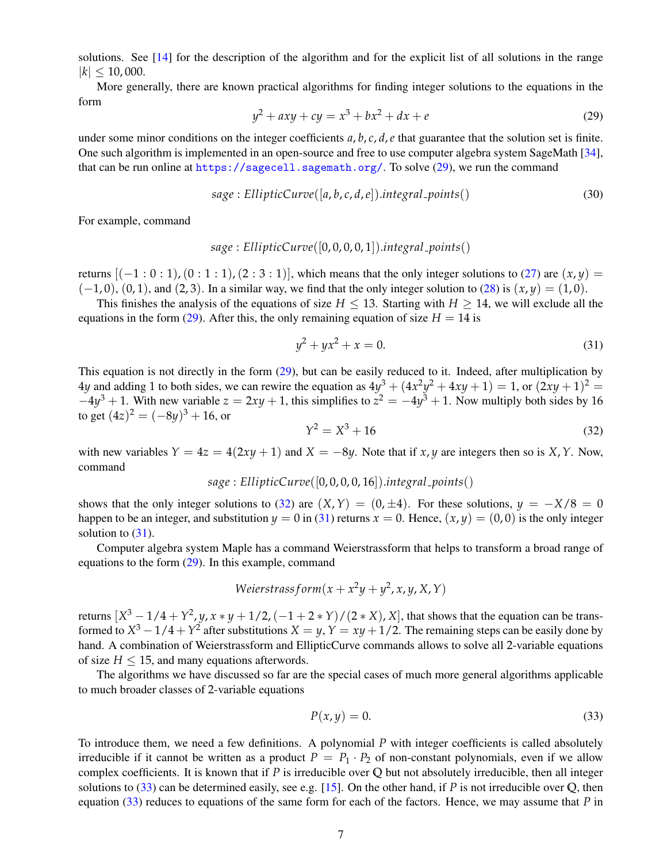solutions. See [\[14\]](#page-16-7) for the description of the algorithm and for the explicit list of all solutions in the range  $|k| \le 10,000$ .

More generally, there are known practical algorithms for finding integer solutions to the equations in the form

<span id="page-6-0"></span>
$$
y^2 + axy + cy = x^3 + bx^2 + dx + e \tag{29}
$$

under some minor conditions on the integer coefficients  $a, b, c, d, e$  that guarantee that the solution set is finite. One such algorithm is implemented in an open-source and free to use computer algebra system SageMath [\[34\]](#page-17-1), that can be run online at <https://sagecell.sagemath.org/>. To solve [\(29\)](#page-6-0), we run the command

$$
sage: EllipticCurve([a,b,c,d,e]).integral-points()
$$
\n(30)

For example, command

$$
sage: EllipticCurve([0,0,0,0,1]).integral\_points()
$$

returns  $[(-1:0:1),(0:1:1),(2:3:1)]$ , which means that the only integer solutions to [\(27\)](#page-5-3) are  $(x,y)$  =  $(-1, 0)$ ,  $(0, 1)$ , and  $(2, 3)$ . In a similar way, we find that the only integer solution to  $(28)$  is  $(x, y) = (1, 0)$ .

This finishes the analysis of the equations of size  $H \le 13$ . Starting with  $H \ge 14$ , we will exclude all the equations in the form [\(29\)](#page-6-0). After this, the only remaining equation of size  $H = 14$  is

<span id="page-6-2"></span>
$$
y^2 + yx^2 + x = 0.\t(31)
$$

This equation is not directly in the form [\(29\)](#page-6-0), but can be easily reduced to it. Indeed, after multiplication by 4*y* and adding 1 to both sides, we can rewire the equation as  $4y^3 + (4x^2y^2 + 4xy + 1) = 1$ , or  $(2xy + 1)^2 = 1$  $-4y^3 + 1$ . With new variable  $z = 2xy + 1$ , this simplifies to  $z^2 = -4y^3 + 1$ . Now multiply both sides by 16 to get  $(4z)^2 = (-8y)^3 + 16$ , or

<span id="page-6-1"></span>
$$
Y^2 = X^3 + 16 \tag{32}
$$

with new variables  $Y = 4z = 4(2xy + 1)$  and  $X = -8y$ . Note that if *x*, *y* are integers then so is *X*, *Y*. Now, command

$$
sage: EllipticCurve([0,0,0,0,16]).integral\_points()
$$

shows that the only integer solutions to [\(32\)](#page-6-1) are  $(X, Y) = (0, \pm 4)$ . For these solutions,  $y = -X/8 = 0$ happen to be an integer, and substitution  $y = 0$  in [\(31\)](#page-6-2) returns  $x = 0$ . Hence,  $(x, y) = (0, 0)$  is the only integer solution to  $(31)$ .

Computer algebra system Maple has a command Weierstrassform that helps to transform a broad range of equations to the form [\(29\)](#page-6-0). In this example, command

Weierstrass form 
$$
(x + x^2y + y^2, x, y, X, Y)
$$

returns  $[X^3 - 1/4 + Y^2, y, x * y + 1/2, (-1 + 2 * Y)/(2 * X), X]$ , that shows that the equation can be transformed to  $X^3 - 1/4 + Y^2$  after substitutions  $X = y$ ,  $Y = xy + 1/2$ . The remaining steps can be easily done by hand. A combination of Weierstrassform and EllipticCurve commands allows to solve all 2-variable equations of size  $H \le 15$ , and many equations afterwords.

The algorithms we have discussed so far are the special cases of much more general algorithms applicable to much broader classes of 2-variable equations

<span id="page-6-3"></span>
$$
P(x, y) = 0.\t\t(33)
$$

To introduce them, we need a few definitions. A polynomial *P* with integer coefficients is called absolutely irreducible if it cannot be written as a product  $P = P_1 \cdot P_2$  of non-constant polynomials, even if we allow complex coefficients. It is known that if *P* is irreducible over **Q** but not absolutely irreducible, then all integer solutions to [\(33\)](#page-6-3) can be determined easily, see e.g. [\[15\]](#page-16-4). On the other hand, if *P* is not irreducible over **Q**, then equation [\(33\)](#page-6-3) reduces to equations of the same form for each of the factors. Hence, we may assume that *P* in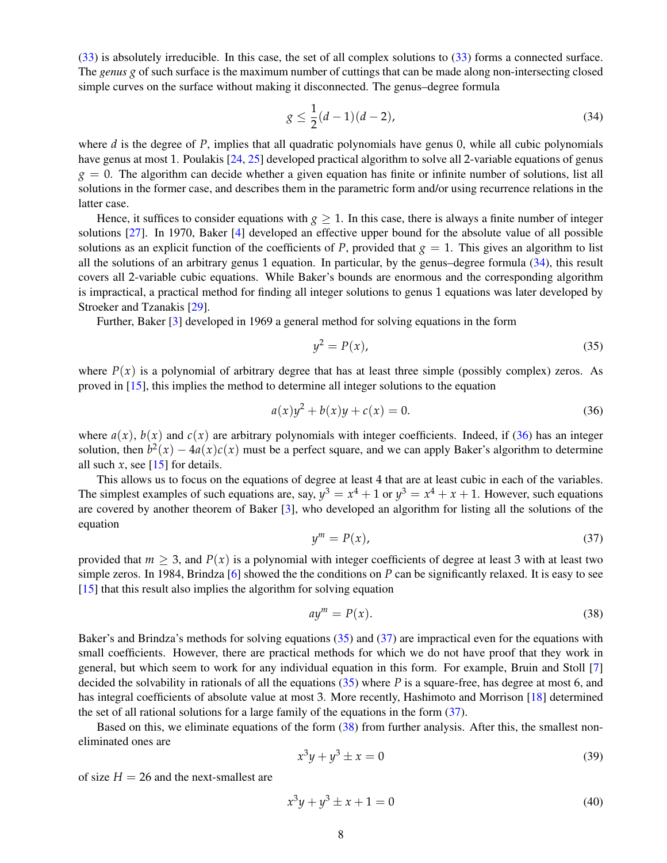[\(33\)](#page-6-3) is absolutely irreducible. In this case, the set of all complex solutions to [\(33\)](#page-6-3) forms a connected surface. The *genus g* of such surface is the maximum number of cuttings that can be made along non-intersecting closed simple curves on the surface without making it disconnected. The genus–degree formula

<span id="page-7-0"></span>
$$
g \le \frac{1}{2}(d-1)(d-2),\tag{34}
$$

where *d* is the degree of *P*, implies that all quadratic polynomials have genus 0, while all cubic polynomials have genus at most 1. Poulakis [\[24,](#page-16-8) [25\]](#page-16-9) developed practical algorithm to solve all 2-variable equations of genus  $g = 0$ . The algorithm can decide whether a given equation has finite or infinite number of solutions, list all solutions in the former case, and describes them in the parametric form and/or using recurrence relations in the latter case.

Hence, it suffices to consider equations with  $g \ge 1$ . In this case, there is always a finite number of integer solutions [\[27\]](#page-16-10). In 1970, Baker [\[4\]](#page-15-4) developed an effective upper bound for the absolute value of all possible solutions as an explicit function of the coefficients of *P*, provided that  $g = 1$ . This gives an algorithm to list all the solutions of an arbitrary genus 1 equation. In particular, by the genus–degree formula [\(34\)](#page-7-0), this result covers all 2-variable cubic equations. While Baker's bounds are enormous and the corresponding algorithm is impractical, a practical method for finding all integer solutions to genus 1 equations was later developed by Stroeker and Tzanakis [\[29\]](#page-16-11).

Further, Baker [\[3\]](#page-15-5) developed in 1969 a general method for solving equations in the form

<span id="page-7-2"></span>
$$
y^2 = P(x),\tag{35}
$$

where  $P(x)$  is a polynomial of arbitrary degree that has at least three simple (possibly complex) zeros. As proved in [\[15\]](#page-16-4), this implies the method to determine all integer solutions to the equation

<span id="page-7-1"></span>
$$
a(x)y^{2} + b(x)y + c(x) = 0.
$$
 (36)

where  $a(x)$ ,  $b(x)$  and  $c(x)$  are arbitrary polynomials with integer coefficients. Indeed, if [\(36\)](#page-7-1) has an integer solution, then  $b^2(x) - 4a(x)c(x)$  must be a perfect square, and we can apply Baker's algorithm to determine all such  $x$ , see [\[15\]](#page-16-4) for details.

This allows us to focus on the equations of degree at least 4 that are at least cubic in each of the variables. The simplest examples of such equations are, say,  $y^3 = x^4 + 1$  or  $y^3 = x^4 + x + 1$ . However, such equations are covered by another theorem of Baker [\[3\]](#page-15-5), who developed an algorithm for listing all the solutions of the equation

<span id="page-7-3"></span>
$$
y^m = P(x), \tag{37}
$$

provided that  $m > 3$ , and  $P(x)$  is a polynomial with integer coefficients of degree at least 3 with at least two simple zeros. In 1984, Brindza [\[6\]](#page-15-6) showed the the conditions on *P* can be significantly relaxed. It is easy to see [\[15\]](#page-16-4) that this result also implies the algorithm for solving equation

<span id="page-7-4"></span>
$$
ay^m = P(x). \tag{38}
$$

Baker's and Brindza's methods for solving equations [\(35\)](#page-7-2) and [\(37\)](#page-7-3) are impractical even for the equations with small coefficients. However, there are practical methods for which we do not have proof that they work in general, but which seem to work for any individual equation in this form. For example, Bruin and Stoll [\[7\]](#page-15-7) decided the solvability in rationals of all the equations [\(35\)](#page-7-2) where *P* is a square-free, has degree at most 6, and has integral coefficients of absolute value at most 3. More recently, Hashimoto and Morrison [\[18\]](#page-16-12) determined the set of all rational solutions for a large family of the equations in the form [\(37\)](#page-7-3).

Based on this, we eliminate equations of the form [\(38\)](#page-7-4) from further analysis. After this, the smallest noneliminated ones are

<span id="page-7-5"></span>
$$
x^3y + y^3 \pm x = 0 \tag{39}
$$

of size  $H = 26$  and the next-smallest are

<span id="page-7-6"></span>
$$
x^3y + y^3 \pm x + 1 = 0 \tag{40}
$$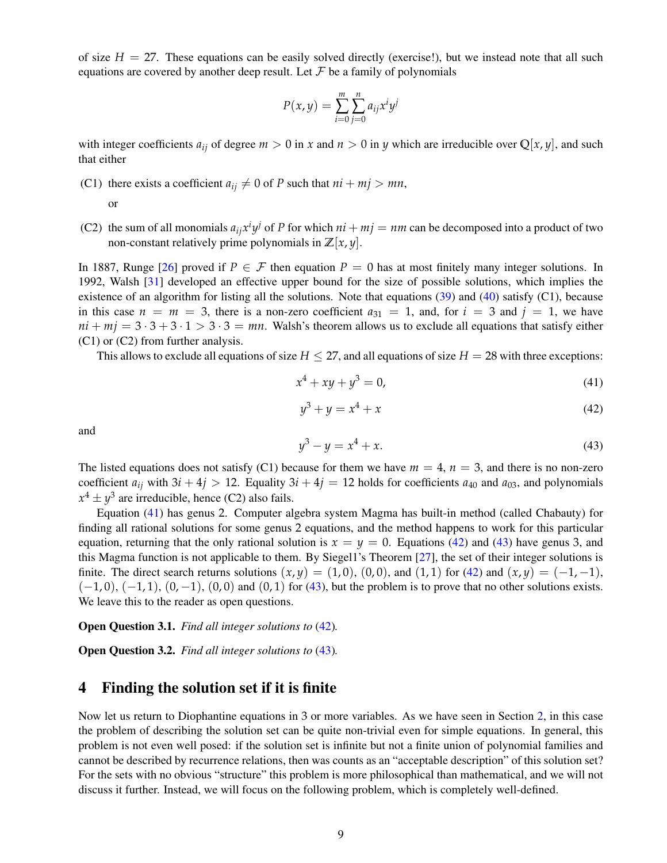of size  $H = 27$ . These equations can be easily solved directly (exercise!), but we instead note that all such equations are covered by another deep result. Let  $\mathcal F$  be a family of polynomials

$$
P(x,y) = \sum_{i=0}^{m} \sum_{j=0}^{n} a_{ij} x^i y^j
$$

with integer coefficients  $a_{ij}$  of degree  $m > 0$  in x and  $n > 0$  in y which are irreducible over  $\mathbb{Q}[x, y]$ , and such that either

(C1) there exists a coefficient  $a_{ij} \neq 0$  of *P* such that  $ni + mj > mn$ ,

or

(C2) the sum of all monomials  $a_{ij}x^iy^j$  of *P* for which  $ni + mj = nm$  can be decomposed into a product of two non-constant relatively prime polynomials in  $\mathbb{Z}[x, y]$ .

In 1887, Runge [\[26\]](#page-16-13) proved if  $P \in \mathcal{F}$  then equation  $P = 0$  has at most finitely many integer solutions. In 1992, Walsh [\[31\]](#page-16-14) developed an effective upper bound for the size of possible solutions, which implies the existence of an algorithm for listing all the solutions. Note that equations [\(39\)](#page-7-5) and [\(40\)](#page-7-6) satisfy (C1), because in this case  $n = m = 3$ , there is a non-zero coefficient  $a_{31} = 1$ , and, for  $i = 3$  and  $j = 1$ , we have  $ni + mj = 3 \cdot 3 + 3 \cdot 1 > 3 \cdot 3 = mn$ . Walsh's theorem allows us to exclude all equations that satisfy either (C1) or (C2) from further analysis.

This allows to exclude all equations of size  $H \leq 27$ , and all equations of size  $H = 28$  with three exceptions:

<span id="page-8-1"></span>
$$
x^4 + xy + y^3 = 0,\t(41)
$$

<span id="page-8-2"></span>
$$
y^3 + y = x^4 + x \tag{42}
$$

and

<span id="page-8-3"></span>
$$
y^3 - y = x^4 + x.\t(43)
$$

The listed equations does not satisfy (C1) because for them we have  $m = 4$ ,  $n = 3$ , and there is no non-zero coefficient  $a_{ij}$  with  $3i + 4j > 12$ . Equality  $3i + 4j = 12$  holds for coefficients  $a_{40}$  and  $a_{03}$ , and polynomials  $x^4 \pm y^3$  are irreducible, hence (C2) also fails.

Equation [\(41\)](#page-8-1) has genus 2. Computer algebra system Magma has built-in method (called Chabauty) for finding all rational solutions for some genus 2 equations, and the method happens to work for this particular equation, returning that the only rational solution is  $x = y = 0$ . Equations [\(42\)](#page-8-2) and [\(43\)](#page-8-3) have genus 3, and this Magma function is not applicable to them. By Siegel1's Theorem [\[27\]](#page-16-10), the set of their integer solutions is finite. The direct search returns solutions  $(x, y) = (1, 0), (0, 0),$  and  $(1, 1)$  for  $(42)$  and  $(x, y) = (-1, -1),$  $(-1, 0)$ ,  $(-1, 1)$ ,  $(0, -1)$ ,  $(0, 0)$  and  $(0, 1)$  for  $(43)$ , but the problem is to prove that no other solutions exists. We leave this to the reader as open questions.

<span id="page-8-4"></span>Open Question 3.1. *Find all integer solutions to* [\(42\)](#page-8-2)*.*

<span id="page-8-5"></span>Open Question 3.2. *Find all integer solutions to* [\(43\)](#page-8-3)*.*

# <span id="page-8-0"></span>4 Finding the solution set if it is finite

Now let us return to Diophantine equations in 3 or more variables. As we have seen in Section [2,](#page-2-0) in this case the problem of describing the solution set can be quite non-trivial even for simple equations. In general, this problem is not even well posed: if the solution set is infinite but not a finite union of polynomial families and cannot be described by recurrence relations, then was counts as an "acceptable description" of this solution set? For the sets with no obvious "structure" this problem is more philosophical than mathematical, and we will not discuss it further. Instead, we will focus on the following problem, which is completely well-defined.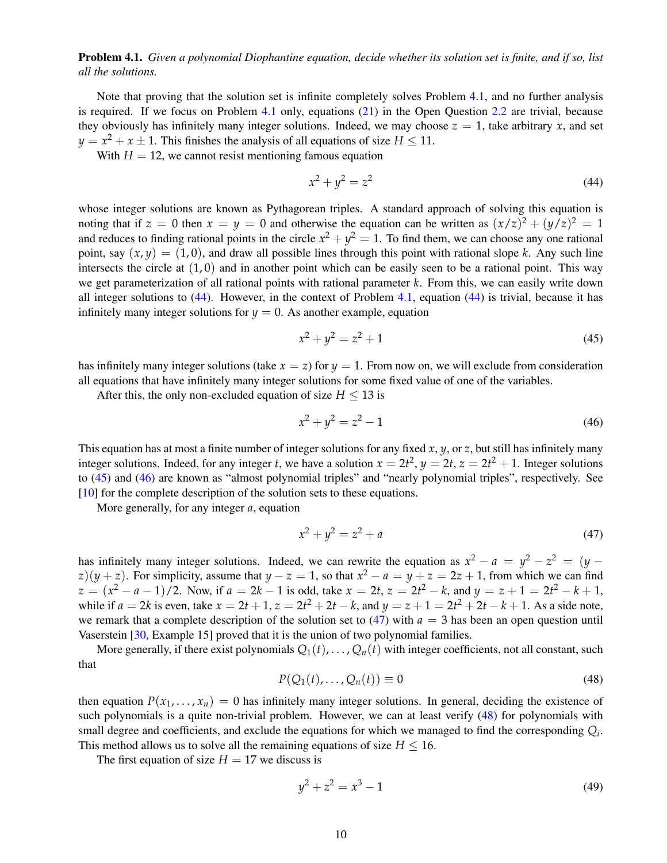<span id="page-9-0"></span>Problem 4.1. *Given a polynomial Diophantine equation, decide whether its solution set is finite, and if so, list all the solutions.*

Note that proving that the solution set is infinite completely solves Problem [4.1,](#page-9-0) and no further analysis is required. If we focus on Problem [4.1](#page-9-0) only, equations [\(21\)](#page-4-1) in the Open Question [2.2](#page-4-3) are trivial, because they obviously has infinitely many integer solutions. Indeed, we may choose  $z = 1$ , take arbitrary *x*, and set  $y = x^2 + x \pm 1$ . This finishes the analysis of all equations of size  $H \le 11$ .

With  $H = 12$ , we cannot resist mentioning famous equation

<span id="page-9-1"></span>
$$
x^2 + y^2 = z^2 \tag{44}
$$

whose integer solutions are known as Pythagorean triples. A standard approach of solving this equation is noting that if  $z = 0$  then  $x = y = 0$  and otherwise the equation can be written as  $(x/z)^2 + (y/z)^2 = 1$ and reduces to finding rational points in the circle  $x^2 + y^2 = 1$ . To find them, we can choose any one rational point, say  $(x, y) = (1, 0)$ , and draw all possible lines through this point with rational slope *k*. Any such line intersects the circle at  $(1, 0)$  and in another point which can be easily seen to be a rational point. This way we get parameterization of all rational points with rational parameter *k*. From this, we can easily write down all integer solutions to [\(44\)](#page-9-1). However, in the context of Problem [4.1,](#page-9-0) equation [\(44\)](#page-9-1) is trivial, because it has infinitely many integer solutions for  $y = 0$ . As another example, equation

<span id="page-9-2"></span>
$$
x^2 + y^2 = z^2 + 1\tag{45}
$$

has infinitely many integer solutions (take  $x = z$ ) for  $y = 1$ . From now on, we will exclude from consideration all equations that have infinitely many integer solutions for some fixed value of one of the variables.

After this, the only non-excluded equation of size  $H \leq 13$  is

<span id="page-9-3"></span>
$$
x^2 + y^2 = z^2 - 1\tag{46}
$$

This equation has at most a finite number of integer solutions for any fixed *x*, *y*, or *z*, but still has infinitely many integer solutions. Indeed, for any integer *t*, we have a solution  $x = 2t^2$ ,  $y = 2t$ ,  $z = 2t^2 + 1$ . Integer solutions to [\(45\)](#page-9-2) and [\(46\)](#page-9-3) are known as "almost polynomial triples" and "nearly polynomial triples", respectively. See [\[10\]](#page-15-8) for the complete description of the solution sets to these equations.

More generally, for any integer *a*, equation

<span id="page-9-4"></span>
$$
x^2 + y^2 = z^2 + a \tag{47}
$$

has infinitely many integer solutions. Indeed, we can rewrite the equation as  $x^2 - a = y^2 - z^2 = (y - a)^2$  $(z)(y + z)$ . For simplicity, assume that  $y - z = 1$ , so that  $x^2 - a = y + z = 2z + 1$ , from which we can find  $z = (x^2 - a - 1)/2$ . Now, if  $a = 2k - 1$  is odd, take  $x = 2t$ ,  $z = 2t^2 - k$ , and  $y = z + 1 = 2t^2 - k + 1$ , while if  $a = 2k$  is even, take  $x = 2t + 1$ ,  $z = 2t^2 + 2t - k$ , and  $y = z + 1 = 2t^2 + 2t - k + 1$ . As a side note, we remark that a complete description of the solution set to  $(47)$  with  $a = 3$  has been an open question until Vaserstein [\[30,](#page-16-6) Example 15] proved that it is the union of two polynomial families.

More generally, if there exist polynomials  $Q_1(t), \ldots, Q_n(t)$  with integer coefficients, not all constant, such that

<span id="page-9-5"></span>
$$
P(Q_1(t),\ldots,Q_n(t))\equiv 0\tag{48}
$$

then equation  $P(x_1, \ldots, x_n) = 0$  has infinitely many integer solutions. In general, deciding the existence of such polynomials is a quite non-trivial problem. However, we can at least verify [\(48\)](#page-9-5) for polynomials with small degree and coefficients, and exclude the equations for which we managed to find the corresponding  $Q_i$ . This method allows us to solve all the remaining equations of size  $H \leq 16$ .

The first equation of size  $H = 17$  we discuss is

<span id="page-9-6"></span>
$$
y^2 + z^2 = x^3 - 1 \tag{49}
$$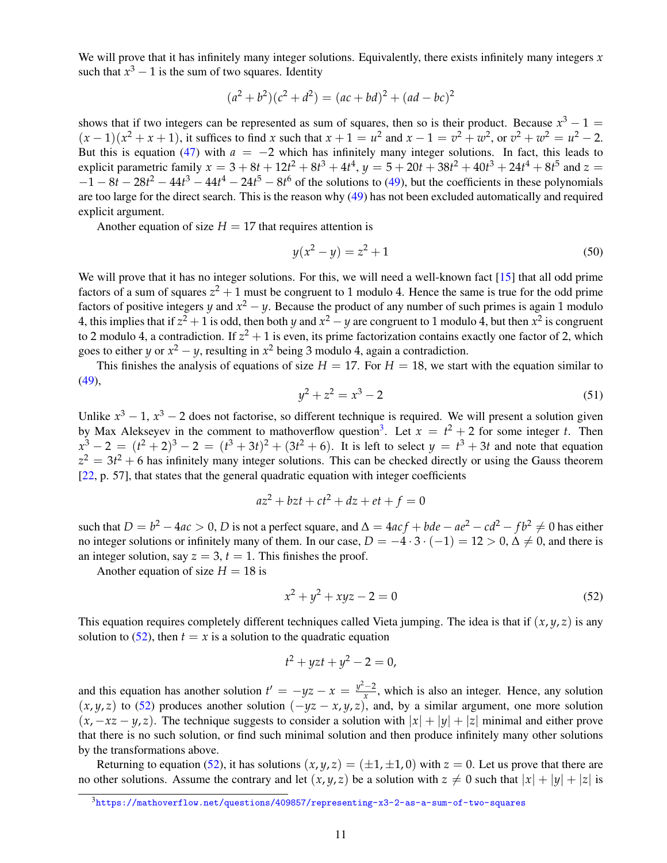We will prove that it has infinitely many integer solutions. Equivalently, there exists infinitely many integers x such that  $x^3 - 1$  is the sum of two squares. Identity

$$
(a2 + b2)(c2 + d2) = (ac + bd)2 + (ad - bc)2
$$

shows that if two integers can be represented as sum of squares, then so is their product. Because  $x^3 - 1 =$  $(x-1)(x^2+x+1)$ , it suffices to find *x* such that  $x+1 = u^2$  and  $x-1 = v^2 + w^2$ , or  $v^2 + w^2 = u^2 - 2$ . But this is equation [\(47\)](#page-9-4) with  $a = -2$  which has infinitely many integer solutions. In fact, this leads to explicit parametric family  $x = 3 + 8t + 12t^2 + 8t^3 + 4t^4$ ,  $y = 5 + 20t + 38t^2 + 40t^3 + 24t^4 + 8t^5$  and  $z =$  $-1 - 8t - 28t^2 - 44t^3 - 44t^4 - 24t^5 - 8t^6$  of the solutions to [\(49\)](#page-9-6), but the coefficients in these polynomials are too large for the direct search. This is the reason why [\(49\)](#page-9-6) has not been excluded automatically and required explicit argument.

Another equation of size  $H = 17$  that requires attention is

$$
y(x^2 - y) = z^2 + 1\tag{50}
$$

We will prove that it has no integer solutions. For this, we will need a well-known fact [\[15\]](#page-16-4) that all odd prime factors of a sum of squares  $z^2 + 1$  must be congruent to 1 modulo 4. Hence the same is true for the odd prime factors of positive integers *y* and  $x^2 - y$ . Because the product of any number of such primes is again 1 modulo 4, this implies that if  $z^2 + 1$  is odd, then both *y* and  $x^2 - y$  are congruent to 1 modulo 4, but then  $x^2$  is congruent to 2 modulo 4, a contradiction. If  $z^2 + 1$  is even, its prime factorization contains exactly one factor of 2, which goes to either *y* or  $x^2 - y$ , resulting in  $x^2$  being 3 modulo 4, again a contradiction.

This finishes the analysis of equations of size  $H = 17$ . For  $H = 18$ , we start with the equation similar to [\(49\)](#page-9-6),

$$
y^2 + z^2 = x^3 - 2 \tag{51}
$$

Unlike  $x^3 - 1$ ,  $x^3 - 2$  does not factorise, so different technique is required. We will present a solution given by Max Alekseyev in the comment to mathoverflow question<sup>[3](#page-10-0)</sup>. Let  $x = t^2 + 2$  for some integer *t*. Then  $x^3 - 2 = (t^2 + 2)^3 - 2 = (t^3 + 3t)^2 + (3t^2 + 6)$ . It is left to select  $y = t^3 + 3t$  and note that equation  $z^2 = 3t^2 + 6$  has infinitely many integer solutions. This can be checked directly or using the Gauss theorem [\[22,](#page-16-15) p. 57], that states that the general quadratic equation with integer coefficients

$$
az^2 + bzt + ct^2 + dz + et + f = 0
$$

such that  $D = b^2 - 4ac > 0$ , *D* is not a perfect square, and  $\Delta = 4acf + bde - ae^2 - cd^2 - fb^2 \neq 0$  has either no integer solutions or infinitely many of them. In our case,  $D = -4 \cdot 3 \cdot (-1) = 12 > 0$ ,  $\Delta \neq 0$ , and there is an integer solution, say  $z = 3$ ,  $t = 1$ . This finishes the proof.

Another equation of size  $H = 18$  is

<span id="page-10-1"></span>
$$
x^2 + y^2 + xyz - 2 = 0 \tag{52}
$$

This equation requires completely different techniques called Vieta jumping. The idea is that if  $(x, y, z)$  is any solution to [\(52\)](#page-10-1), then  $t = x$  is a solution to the quadratic equation

$$
t^2 + yzt + y^2 - 2 = 0,
$$

and this equation has another solution  $t' = -yz - x = \frac{y^2-2}{x}$  $\frac{-2}{x}$ , which is also an integer. Hence, any solution  $(x, y, z)$  to [\(52\)](#page-10-1) produces another solution  $(-yz - x, y, z)$ , and, by a similar argument, one more solution  $(x, -xz - y, z)$ . The technique suggests to consider a solution with  $|x| + |y| + |z|$  minimal and either prove that there is no such solution, or find such minimal solution and then produce infinitely many other solutions by the transformations above.

Returning to equation [\(52\)](#page-10-1), it has solutions  $(x, y, z) = (\pm 1, \pm 1, 0)$  with  $z = 0$ . Let us prove that there are no other solutions. Assume the contrary and let  $(x, y, z)$  be a solution with  $z \neq 0$  such that  $|x| + |y| + |z|$  is

<span id="page-10-0"></span><sup>3</sup><https://mathoverflow.net/questions/409857/representing-x3-2-as-a-sum-of-two-squares>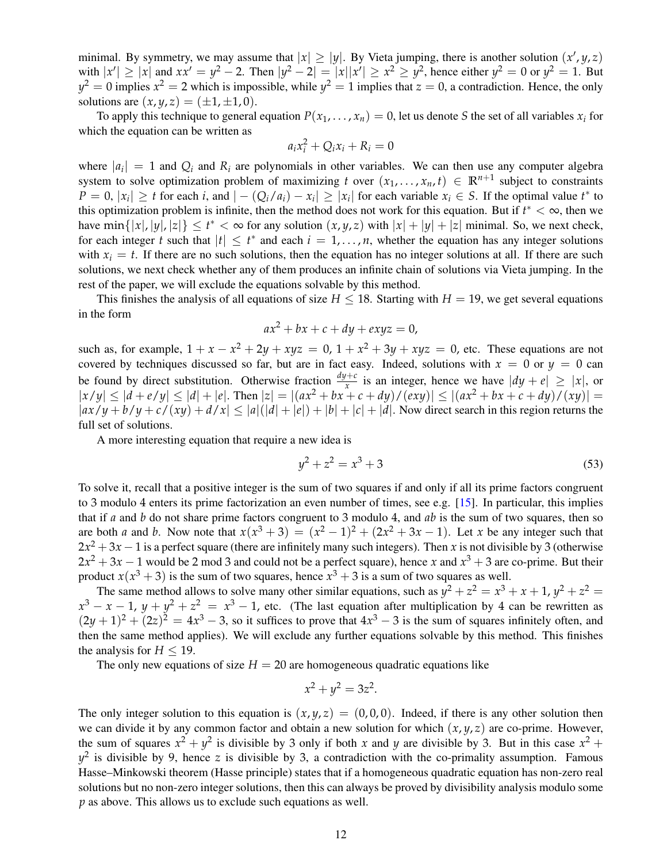minimal. By symmetry, we may assume that  $|x| \ge |y|$ . By Vieta jumping, there is another solution  $(x', y, z)$ with  $|x'| \ge |x|$  and  $xx' = y^2 - 2$ . Then  $|y^2 - 2| = |x||x'| \ge x^2 \ge y^2$ , hence either  $y^2 = 0$  or  $y^2 = 1$ . But  $y^2 = 0$  implies  $x^2 = 2$  which is impossible, while  $y^2 = 1$  implies that  $z = 0$ , a contradiction. Hence, the only solutions are  $(x, y, z) = (\pm 1, \pm 1, 0)$ .

To apply this technique to general equation  $P(x_1, \ldots, x_n) = 0$ , let us denote *S* the set of all variables  $x_i$  for which the equation can be written as

$$
a_i x_i^2 + Q_i x_i + R_i = 0
$$

where  $|a_i| = 1$  and  $Q_i$  and  $R_i$  are polynomials in other variables. We can then use any computer algebra system to solve optimization problem of maximizing *t* over  $(x_1, \ldots, x_n, t) \in \mathbb{R}^{n+1}$  subject to constraints  $P = 0$ ,  $|x_i| \ge t$  for each i, and  $|-(Q_i/a_i) - x_i| \ge |x_i|$  for each variable  $x_i \in S$ . If the optimal value  $t^*$  to this optimization problem is infinite, then the method does not work for this equation. But if  $t^* < \infty$ , then we have min $\{|x|, |y|, |z|\} \le t^* < \infty$  for any solution  $(x, y, z)$  with  $|x| + |y| + |z|$  minimal. So, we next check, for each integer *t* such that  $|t| \leq t^*$  and each  $i = 1, ..., n$ , whether the equation has any integer solutions with  $x_i = t$ . If there are no such solutions, then the equation has no integer solutions at all. If there are such solutions, we next check whether any of them produces an infinite chain of solutions via Vieta jumping. In the rest of the paper, we will exclude the equations solvable by this method.

This finishes the analysis of all equations of size  $H \leq 18$ . Starting with  $H = 19$ , we get several equations in the form

$$
ax^2 + bx + c + dy + exyz = 0,
$$

such as, for example,  $1 + x - x^2 + 2y + xyz = 0$ ,  $1 + x^2 + 3y + xyz = 0$ , etc. These equations are not covered by techniques discussed so far, but are in fact easy. Indeed, solutions with  $x = 0$  or  $y = 0$  can be found by direct substitution. Otherwise fraction  $\frac{dy+c}{x}$  is an integer, hence we have  $|dy + e| \ge |x|$ , or  $|x/y| \le |d+e/y| \le |d|+|e|$ . Then  $|z| = |(ax^2+bx+c+dy)/(exy)| \le |(ax^2+bx+c+dy)/(xy)| =$  $|ax/y + b/y + c/(xy) + d/x| \leq |a|(|d| + |e|) + |b| + |c| + |d|$ . Now direct search in this region returns the full set of solutions.

A more interesting equation that require a new idea is

$$
y^2 + z^2 = x^3 + 3 \tag{53}
$$

To solve it, recall that a positive integer is the sum of two squares if and only if all its prime factors congruent to 3 modulo 4 enters its prime factorization an even number of times, see e.g.  $[15]$ . In particular, this implies that if *a* and *b* do not share prime factors congruent to 3 modulo 4, and *ab* is the sum of two squares, then so are both *a* and *b*. Now note that  $x(x^3 + 3) = (x^2 - 1)^2 + (2x^2 + 3x - 1)$ . Let *x* be any integer such that  $2x^2 + 3x - 1$  is a perfect square (there are infinitely many such integers). Then *x* is not divisible by 3 (otherwise  $2x^2 + 3x - 1$  would be 2 mod 3 and could not be a perfect square), hence *x* and  $x^3 + 3$  are co-prime. But their product  $x(x^3 + 3)$  is the sum of two squares, hence  $x^3 + 3$  is a sum of two squares as well.

The same method allows to solve many other similar equations, such as  $y^2 + z^2 = x^3 + x + 1$ ,  $y^2 + z^2 =$  $x^3 - x - 1$ ,  $y + y^2 + z^2 = x^3 - 1$ , etc. (The last equation after multiplication by 4 can be rewritten as  $(2y+1)^2 + (2z)^2 = 4x^3 - 3$ , so it suffices to prove that  $4x^3 - 3$  is the sum of squares infinitely often, and then the same method applies). We will exclude any further equations solvable by this method. This finishes the analysis for  $H \leq 19$ .

The only new equations of size  $H = 20$  are homogeneous quadratic equations like

$$
x^2 + y^2 = 3z^2.
$$

The only integer solution to this equation is  $(x, y, z) = (0, 0, 0)$ . Indeed, if there is any other solution then we can divide it by any common factor and obtain a new solution for which  $(x, y, z)$  are co-prime. However, the sum of squares  $x^2 + y^2$  is divisible by 3 only if both *x* and *y* are divisible by 3. But in this case  $x^2 +$  $y^2$  is divisible by 9, hence *z* is divisible by 3, a contradiction with the co-primality assumption. Famous Hasse–Minkowski theorem (Hasse principle) states that if a homogeneous quadratic equation has non-zero real solutions but no non-zero integer solutions, then this can always be proved by divisibility analysis modulo some *p* as above. This allows us to exclude such equations as well.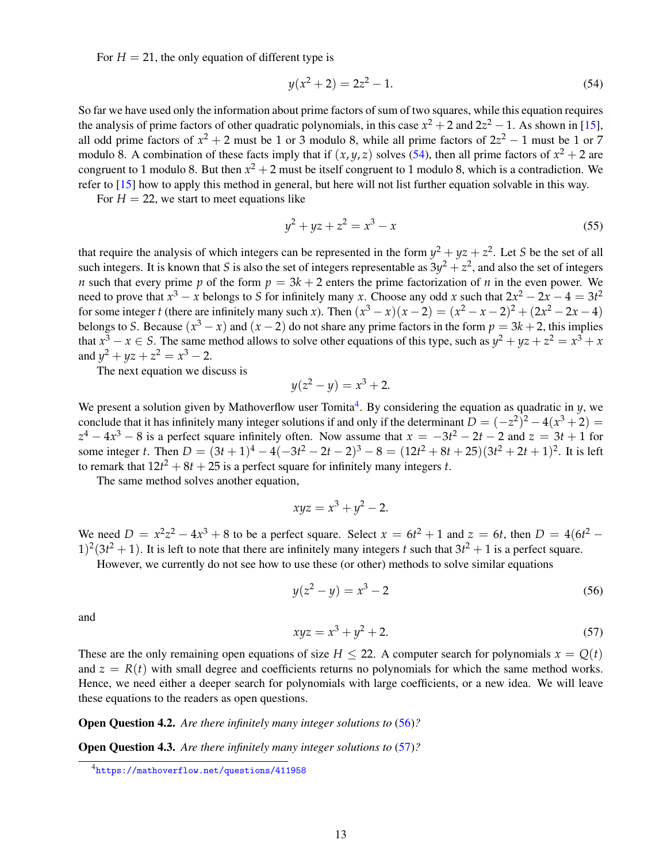For  $H = 21$ , the only equation of different type is

<span id="page-12-0"></span>
$$
y(x^2 + 2) = 2z^2 - 1.
$$
 (54)

So far we have used only the information about prime factors of sum of two squares, while this equation requires the analysis of prime factors of other quadratic polynomials, in this case  $x^2 + 2$  and  $2z^2 - 1$ . As shown in [\[15\]](#page-16-4), all odd prime factors of  $x^2 + 2$  must be 1 or 3 modulo 8, while all prime factors of  $2z^2 - 1$  must be 1 or 7 modulo 8. A combination of these facts imply that if  $(x, y, z)$  solves [\(54\)](#page-12-0), then all prime factors of  $x^2 + 2$  are congruent to 1 modulo 8. But then  $x^2 + 2$  must be itself congruent to 1 modulo 8, which is a contradiction. We refer to [\[15\]](#page-16-4) how to apply this method in general, but here will not list further equation solvable in this way.

For  $H = 22$ , we start to meet equations like

$$
y^2 + yz + z^2 = x^3 - x \tag{55}
$$

that require the analysis of which integers can be represented in the form  $y^2 + yz + z^2$ . Let *S* be the set of all such integers. It is known that *S* is also the set of integers representable as  $3y^2 + z^2$ , and also the set of integers *n* such that every prime *p* of the form  $p = 3k + 2$  enters the prime factorization of *n* in the even power. We need to prove that  $x^3 - x$  belongs to *S* for infinitely many *x*. Choose any odd *x* such that  $2x^2 - 2x - 4 = 3t^2$ for some integer *t* (there are infinitely many such *x*). Then  $(x^3 - x)(x - 2) = (x^2 - x - 2)^2 + (2x^2 - 2x - 4)$ belongs to *S*. Because  $(x^3 - x)$  and  $(x - 2)$  do not share any prime factors in the form  $p = 3k + 2$ , this implies that  $x^3 - x \in S$ . The same method allows to solve other equations of this type, such as  $y^2 + yz + z^2 = x^3 + x$ and  $y^2 + yz + z^2 = x^3 - 2$ .

The next equation we discuss is

$$
y(z^2 - y) = x^3 + 2.
$$

We present a solution given by Mathoverflow user Tomita<sup>[4](#page-12-1)</sup>. By considering the equation as quadratic in  $y$ , we conclude that it has infinitely many integer solutions if and only if the determinant  $D = (-z^2)^2 - 4(x^3 + 2) =$  $z^4 - 4x^3 - 8$  is a perfect square infinitely often. Now assume that  $x = -3t^2 - 2t - 2$  and  $z = 3t + 1$  for some integer *t*. Then  $D = (3t + 1)^4 - 4(-3t^2 - 2t - 2)^3 - 8 = (12t^2 + 8t + 25)(3t^2 + 2t + 1)^2$ . It is left to remark that  $12t^2 + 8t + 25$  is a perfect square for infinitely many integers *t*.

The same method solves another equation,

$$
xyz = x^3 + y^2 - 2.
$$

We need  $D = x^2z^2 - 4x^3 + 8$  to be a perfect square. Select  $x = 6t^2 + 1$  and  $z = 6t$ , then  $D = 4(6t^2 - 1)$  $(1)^2(3t^2+1)$ . It is left to note that there are infinitely many integers t such that  $3t^2+1$  is a perfect square.

However, we currently do not see how to use these (or other) methods to solve similar equations

<span id="page-12-2"></span>
$$
y(z^2 - y) = x^3 - 2 \tag{56}
$$

and

<span id="page-12-3"></span>
$$
xyz = x^3 + y^2 + 2.\t\t(57)
$$

These are the only remaining open equations of size  $H \le 22$ . A computer search for polynomials  $x = O(t)$ and  $z = R(t)$  with small degree and coefficients returns no polynomials for which the same method works. Hence, we need either a deeper search for polynomials with large coefficients, or a new idea. We will leave these equations to the readers as open questions.

Open Question 4.2. *Are there infinitely many integer solutions to* [\(56\)](#page-12-2)*?*

Open Question 4.3. *Are there infinitely many integer solutions to* [\(57\)](#page-12-3)*?*

<span id="page-12-1"></span><sup>4</sup><https://mathoverflow.net/questions/411958>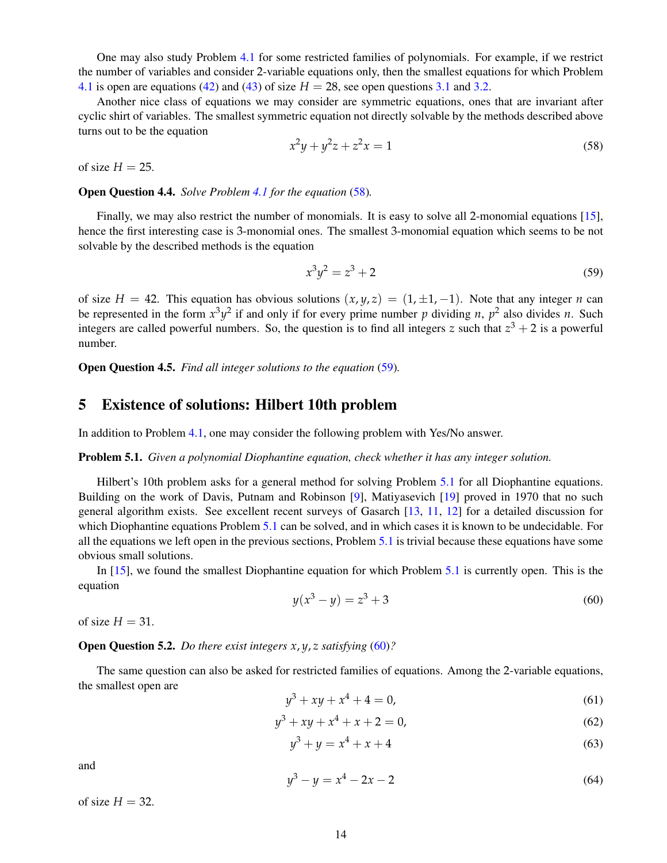One may also study Problem [4.1](#page-9-0) for some restricted families of polynomials. For example, if we restrict the number of variables and consider 2-variable equations only, then the smallest equations for which Problem [4.1](#page-9-0) is open are equations [\(42\)](#page-8-2) and [\(43\)](#page-8-3) of size  $H = 28$ , see open questions [3.1](#page-8-4) and [3.2.](#page-8-5)

Another nice class of equations we may consider are symmetric equations, ones that are invariant after cyclic shirt of variables. The smallest symmetric equation not directly solvable by the methods described above turns out to be the equation

<span id="page-13-1"></span>
$$
x^2y + y^2z + z^2x = 1
$$
\n(58)

of size  $H = 25$ .

Open Question 4.4. *Solve Problem [4.1](#page-9-0) for the equation* [\(58\)](#page-13-1)*.*

Finally, we may also restrict the number of monomials. It is easy to solve all 2-monomial equations [\[15\]](#page-16-4), hence the first interesting case is 3-monomial ones. The smallest 3-monomial equation which seems to be not solvable by the described methods is the equation

<span id="page-13-2"></span>
$$
x^3y^2 = z^3 + 2 \tag{59}
$$

of size  $H = 42$ . This equation has obvious solutions  $(x, y, z) = (1, \pm 1, -1)$ . Note that any integer *n* can be represented in the form  $x^3y^2$  if and only if for every prime number p dividing n,  $p^2$  also divides n. Such integers are called powerful numbers. So, the question is to find all integers *z* such that  $z^3 + 2$  is a powerful number.

Open Question 4.5. *Find all integer solutions to the equation* [\(59\)](#page-13-2)*.*

# <span id="page-13-0"></span>5 Existence of solutions: Hilbert 10th problem

In addition to Problem [4.1,](#page-9-0) one may consider the following problem with Yes/No answer.

<span id="page-13-3"></span>Problem 5.1. *Given a polynomial Diophantine equation, check whether it has any integer solution.*

Hilbert's 10th problem asks for a general method for solving Problem [5.1](#page-13-3) for all Diophantine equations. Building on the work of Davis, Putnam and Robinson [\[9\]](#page-15-9), Matiyasevich [\[19\]](#page-16-16) proved in 1970 that no such general algorithm exists. See excellent recent surveys of Gasarch [\[13,](#page-16-17) [11,](#page-16-18) [12\]](#page-16-19) for a detailed discussion for which Diophantine equations Problem [5.1](#page-13-3) can be solved, and in which cases it is known to be undecidable. For all the equations we left open in the previous sections, Problem [5.1](#page-13-3) is trivial because these equations have some obvious small solutions.

In [\[15\]](#page-16-4), we found the smallest Diophantine equation for which Problem [5.1](#page-13-3) is currently open. This is the equation

<span id="page-13-4"></span>
$$
y(x^3 - y) = z^3 + 3\tag{60}
$$

of size  $H = 31$ .

#### Open Question 5.2. *Do there exist integers x*, *y*, *z satisfying* [\(60\)](#page-13-4)*?*

The same question can also be asked for restricted families of equations. Among the 2-variable equations, the smallest open are

<span id="page-13-5"></span>
$$
y^3 + xy + x^4 + 4 = 0,\t(61)
$$

$$
y^3 + xy + x^4 + x + 2 = 0,\t(62)
$$

$$
y^3 + y = x^4 + x + 4 \tag{63}
$$

and

<span id="page-13-6"></span>
$$
y^3 - y = x^4 - 2x - 2 \tag{64}
$$

of size  $H = 32$ .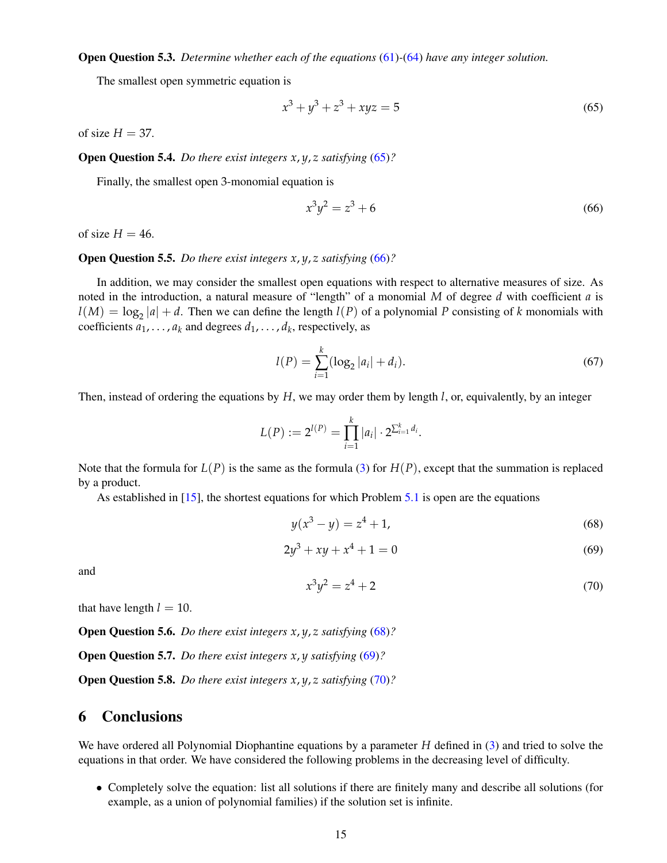Open Question 5.3. *Determine whether each of the equations* [\(61\)](#page-13-5)*-*[\(64\)](#page-13-6) *have any integer solution.*

The smallest open symmetric equation is

<span id="page-14-0"></span>
$$
x^3 + y^3 + z^3 + xyz = 5\tag{65}
$$

of size  $H = 37$ .

Open Question 5.4. *Do there exist integers x*, *y*, *z satisfying* [\(65\)](#page-14-0)*?*

Finally, the smallest open 3-monomial equation is

<span id="page-14-1"></span>
$$
x^3y^2 = z^3 + 6 \tag{66}
$$

of size  $H = 46$ .

#### Open Question 5.5. *Do there exist integers x*, *y*, *z satisfying* [\(66\)](#page-14-1)*?*

In addition, we may consider the smallest open equations with respect to alternative measures of size. As noted in the introduction, a natural measure of "length" of a monomial *M* of degree *d* with coefficient *a* is  $l(M) = \log_2 |a| + d$ . Then we can define the length  $l(P)$  of a polynomial *P* consisting of *k* monomials with coefficients  $a_1, \ldots, a_k$  and degrees  $d_1, \ldots, d_k$ , respectively, as

$$
l(P) = \sum_{i=1}^{k} (\log_2 |a_i| + d_i).
$$
 (67)

Then, instead of ordering the equations by *H*, we may order them by length *l*, or, equivalently, by an integer

$$
L(P) := 2^{l(P)} = \prod_{i=1}^k |a_i| \cdot 2^{\sum_{i=1}^k d_i}.
$$

Note that the formula for  $L(P)$  is the same as the formula [\(3\)](#page-1-1) for  $H(P)$ , except that the summation is replaced by a product.

As established in [\[15\]](#page-16-4), the shortest equations for which Problem [5.1](#page-13-3) is open are the equations

<span id="page-14-2"></span>
$$
y(x^3 - y) = z^4 + 1,\tag{68}
$$

<span id="page-14-3"></span>
$$
2y^3 + xy + x^4 + 1 = 0 \tag{69}
$$

and

<span id="page-14-4"></span>
$$
x^3 y^2 = z^4 + 2 \tag{70}
$$

that have length  $l = 10$ .

Open Question 5.6. *Do there exist integers x*, *y*, *z satisfying* [\(68\)](#page-14-2)*?*

Open Question 5.7. *Do there exist integers x*, *y satisfying* [\(69\)](#page-14-3)*?*

Open Question 5.8. *Do there exist integers x*, *y*, *z satisfying* [\(70\)](#page-14-4)*?*

### 6 Conclusions

We have ordered all Polynomial Diophantine equations by a parameter *H* defined in [\(3\)](#page-1-1) and tried to solve the equations in that order. We have considered the following problems in the decreasing level of difficulty.

• Completely solve the equation: list all solutions if there are finitely many and describe all solutions (for example, as a union of polynomial families) if the solution set is infinite.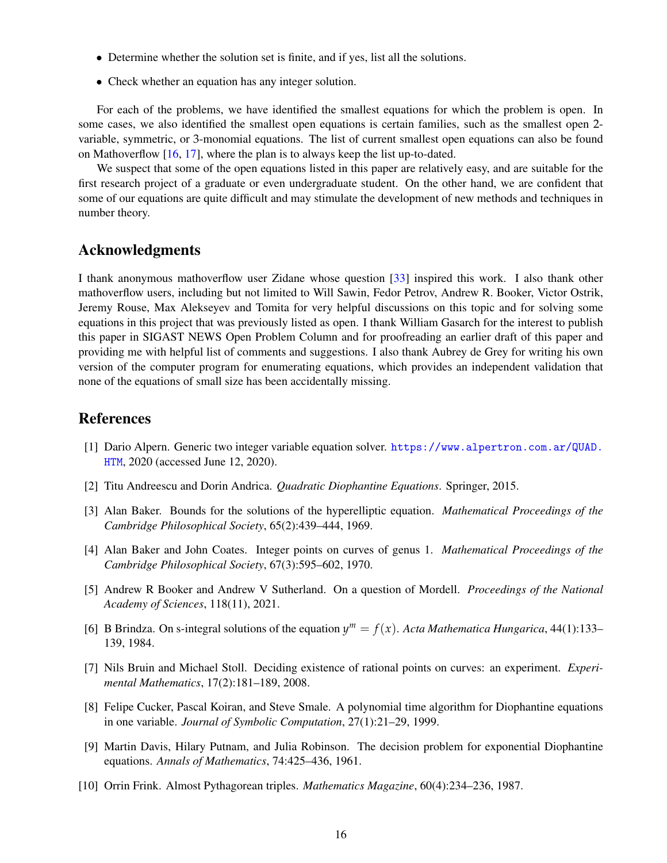- Determine whether the solution set is finite, and if yes, list all the solutions.
- Check whether an equation has any integer solution.

For each of the problems, we have identified the smallest equations for which the problem is open. In some cases, we also identified the smallest open equations is certain families, such as the smallest open 2 variable, symmetric, or 3-monomial equations. The list of current smallest open equations can also be found on Mathoverflow [\[16,](#page-16-20) [17\]](#page-16-21), where the plan is to always keep the list up-to-dated.

We suspect that some of the open equations listed in this paper are relatively easy, and are suitable for the first research project of a graduate or even undergraduate student. On the other hand, we are confident that some of our equations are quite difficult and may stimulate the development of new methods and techniques in number theory.

### Acknowledgments

I thank anonymous mathoverflow user Zidane whose question [\[33\]](#page-17-0) inspired this work. I also thank other mathoverflow users, including but not limited to Will Sawin, Fedor Petrov, Andrew R. Booker, Victor Ostrik, Jeremy Rouse, Max Alekseyev and Tomita for very helpful discussions on this topic and for solving some equations in this project that was previously listed as open. I thank William Gasarch for the interest to publish this paper in SIGAST NEWS Open Problem Column and for proofreading an earlier draft of this paper and providing me with helpful list of comments and suggestions. I also thank Aubrey de Grey for writing his own version of the computer program for enumerating equations, which provides an independent validation that none of the equations of small size has been accidentally missing.

## References

- <span id="page-15-3"></span>[1] Dario Alpern. Generic two integer variable equation solver. [https://www.alpertron.com.ar/QUAD.](https://www.alpertron.com.ar/QUAD.HTM) [HTM](https://www.alpertron.com.ar/QUAD.HTM), 2020 (accessed June 12, 2020).
- <span id="page-15-2"></span>[2] Titu Andreescu and Dorin Andrica. *Quadratic Diophantine Equations*. Springer, 2015.
- <span id="page-15-5"></span>[3] Alan Baker. Bounds for the solutions of the hyperelliptic equation. *Mathematical Proceedings of the Cambridge Philosophical Society*, 65(2):439–444, 1969.
- <span id="page-15-4"></span>[4] Alan Baker and John Coates. Integer points on curves of genus 1. *Mathematical Proceedings of the Cambridge Philosophical Society*, 67(3):595–602, 1970.
- <span id="page-15-0"></span>[5] Andrew R Booker and Andrew V Sutherland. On a question of Mordell. *Proceedings of the National Academy of Sciences*, 118(11), 2021.
- <span id="page-15-6"></span>[6] B Brindza. On s-integral solutions of the equation  $y^m = f(x)$ . Acta Mathematica Hungarica, 44(1):133– 139, 1984.
- <span id="page-15-7"></span>[7] Nils Bruin and Michael Stoll. Deciding existence of rational points on curves: an experiment. *Experimental Mathematics*, 17(2):181–189, 2008.
- <span id="page-15-1"></span>[8] Felipe Cucker, Pascal Koiran, and Steve Smale. A polynomial time algorithm for Diophantine equations in one variable. *Journal of Symbolic Computation*, 27(1):21–29, 1999.
- <span id="page-15-9"></span>[9] Martin Davis, Hilary Putnam, and Julia Robinson. The decision problem for exponential Diophantine equations. *Annals of Mathematics*, 74:425–436, 1961.
- <span id="page-15-8"></span>[10] Orrin Frink. Almost Pythagorean triples. *Mathematics Magazine*, 60(4):234–236, 1987.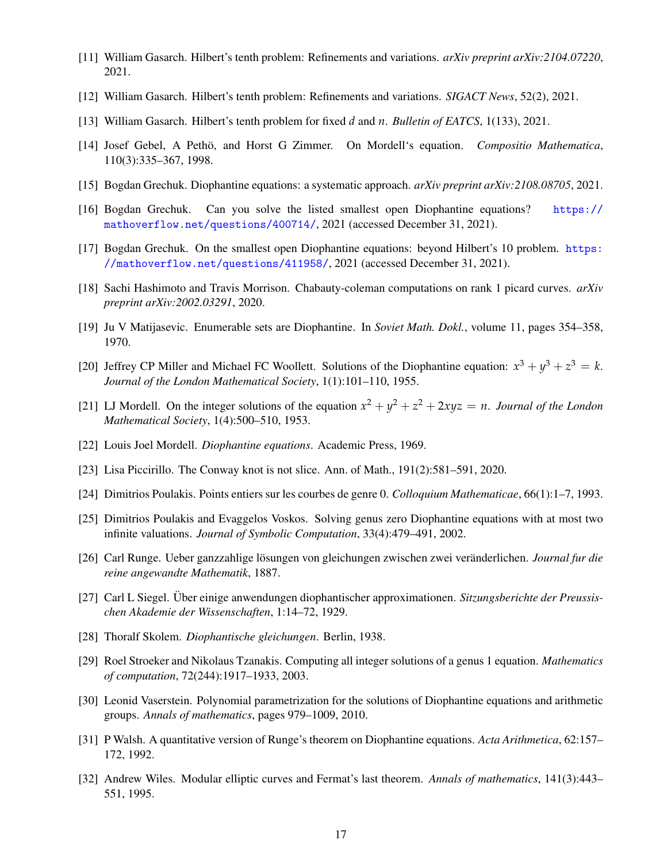- <span id="page-16-18"></span>[11] William Gasarch. Hilbert's tenth problem: Refinements and variations. *arXiv preprint arXiv:2104.07220*, 2021.
- <span id="page-16-19"></span>[12] William Gasarch. Hilbert's tenth problem: Refinements and variations. *SIGACT News*, 52(2), 2021.
- <span id="page-16-17"></span>[13] William Gasarch. Hilbert's tenth problem for fixed *d* and *n*. *Bulletin of EATCS*, 1(133), 2021.
- <span id="page-16-7"></span>[14] Josef Gebel, A Petho, and Horst G Zimmer. On Mordell's equation. ¨ *Compositio Mathematica*, 110(3):335–367, 1998.
- <span id="page-16-4"></span>[15] Bogdan Grechuk. Diophantine equations: a systematic approach. *arXiv preprint arXiv:2108.08705*, 2021.
- <span id="page-16-20"></span>[16] Bogdan Grechuk. Can you solve the listed smallest open Diophantine equations? [https://](https://mathoverflow.net/questions/400714/) [mathoverflow.net/questions/400714/](https://mathoverflow.net/questions/400714/), 2021 (accessed December 31, 2021).
- <span id="page-16-21"></span>[17] Bogdan Grechuk. On the smallest open Diophantine equations: beyond Hilbert's 10 problem. [https:](https://mathoverflow.net/questions/411958/) [//mathoverflow.net/questions/411958/](https://mathoverflow.net/questions/411958/), 2021 (accessed December 31, 2021).
- <span id="page-16-12"></span>[18] Sachi Hashimoto and Travis Morrison. Chabauty-coleman computations on rank 1 picard curves. *arXiv preprint arXiv:2002.03291*, 2020.
- <span id="page-16-16"></span>[19] Ju V Matijasevic. Enumerable sets are Diophantine. In *Soviet Math. Dokl.*, volume 11, pages 354–358, 1970.
- <span id="page-16-2"></span>[20] Jeffrey CP Miller and Michael FC Woollett. Solutions of the Diophantine equation:  $x^3 + y^3 + z^3 = k$ . *Journal of the London Mathematical Society*, 1(1):101–110, 1955.
- <span id="page-16-3"></span>[21] LJ Mordell. On the integer solutions of the equation  $x^2 + y^2 + z^2 + 2xyz = n$ . *Journal of the London Mathematical Society*, 1(4):500–510, 1953.
- <span id="page-16-15"></span>[22] Louis Joel Mordell. *Diophantine equations*. Academic Press, 1969.
- <span id="page-16-0"></span>[23] Lisa Piccirillo. The Conway knot is not slice. Ann. of Math., 191(2):581–591, 2020.
- <span id="page-16-8"></span>[24] Dimitrios Poulakis. Points entiers sur les courbes de genre 0. *Colloquium Mathematicae*, 66(1):1–7, 1993.
- <span id="page-16-9"></span>[25] Dimitrios Poulakis and Evaggelos Voskos. Solving genus zero Diophantine equations with at most two infinite valuations. *Journal of Symbolic Computation*, 33(4):479–491, 2002.
- <span id="page-16-13"></span>[26] Carl Runge. Ueber ganzzahlige lösungen von gleichungen zwischen zwei veränderlichen. *Journal fur die reine angewandte Mathematik*, 1887.
- <span id="page-16-10"></span>[27] Carl L Siegel. Uber einige anwendungen diophantischer approximationen. *Sitzungsberichte der Preussischen Akademie der Wissenschaften*, 1:14–72, 1929.
- <span id="page-16-5"></span>[28] Thoralf Skolem. *Diophantische gleichungen*. Berlin, 1938.
- <span id="page-16-11"></span>[29] Roel Stroeker and Nikolaus Tzanakis. Computing all integer solutions of a genus 1 equation. *Mathematics of computation*, 72(244):1917–1933, 2003.
- <span id="page-16-6"></span>[30] Leonid Vaserstein. Polynomial parametrization for the solutions of Diophantine equations and arithmetic groups. *Annals of mathematics*, pages 979–1009, 2010.
- <span id="page-16-14"></span>[31] P Walsh. A quantitative version of Runge's theorem on Diophantine equations. *Acta Arithmetica*, 62:157– 172, 1992.
- <span id="page-16-1"></span>[32] Andrew Wiles. Modular elliptic curves and Fermat's last theorem. *Annals of mathematics*, 141(3):443– 551, 1995.